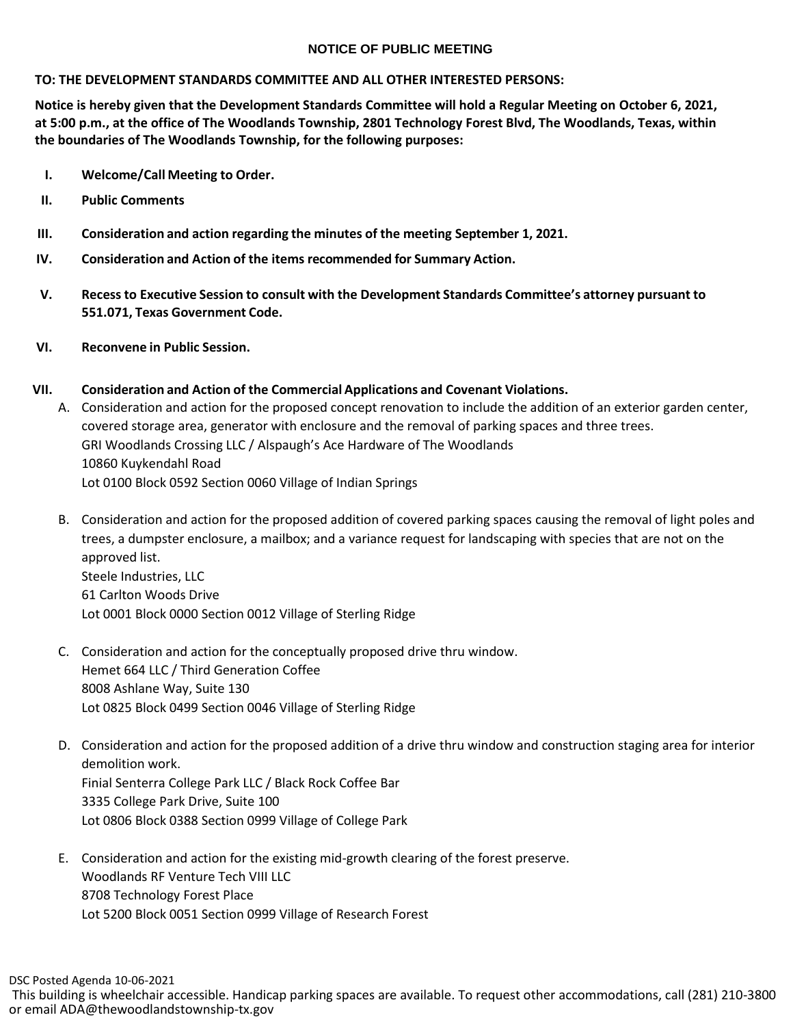#### **NOTICE OF PUBLIC MEETING**

#### **TO: THE DEVELOPMENT STANDARDS COMMITTEE AND ALL OTHER INTERESTED PERSONS:**

**Notice is hereby given that the Development Standards Committee will hold a Regular Meeting on October 6, 2021, at 5:00 p.m., at the office of The Woodlands Township, 2801 Technology Forest Blvd, The Woodlands, Texas, within the boundaries of The Woodlands Township, for the following purposes:**

- **I. Welcome/Call Meeting to Order.**
- **II. Public Comments**
- **III. Consideration and action regarding the minutes of the meeting September 1, 2021.**
- **IV. Consideration and Action of the items recommended for Summary Action.**
- **V. Recessto Executive Session to consult with the Development Standards Committee's attorney pursuant to 551.071, Texas Government Code.**
- **VI. Reconvene in Public Session.**

## **VII. Consideration and Action of the Commercial Applications and Covenant Violations.**

- A. Consideration and action for the proposed concept renovation to include the addition of an exterior garden center, covered storage area, generator with enclosure and the removal of parking spaces and three trees. GRI Woodlands Crossing LLC / Alspaugh's Ace Hardware of The Woodlands 10860 Kuykendahl Road Lot 0100 Block 0592 Section 0060 Village of Indian Springs
- B. Consideration and action for the proposed addition of covered parking spaces causing the removal of light poles and trees, a dumpster enclosure, a mailbox; and a variance request for landscaping with species that are not on the approved list. Steele Industries, LLC 61 Carlton Woods Drive Lot 0001 Block 0000 Section 0012 Village of Sterling Ridge

# C. Consideration and action for the conceptually proposed drive thru window. Hemet 664 LLC / Third Generation Coffee 8008 Ashlane Way, Suite 130 Lot 0825 Block 0499 Section 0046 Village of Sterling Ridge

- D. Consideration and action for the proposed addition of a drive thru window and construction staging area for interior demolition work. Finial Senterra College Park LLC / Black Rock Coffee Bar 3335 College Park Drive, Suite 100 Lot 0806 Block 0388 Section 0999 Village of College Park
- E. Consideration and action for the existing mid-growth clearing of the forest preserve. Woodlands RF Venture Tech VIII LLC 8708 Technology Forest Place Lot 5200 Block 0051 Section 0999 Village of Research Forest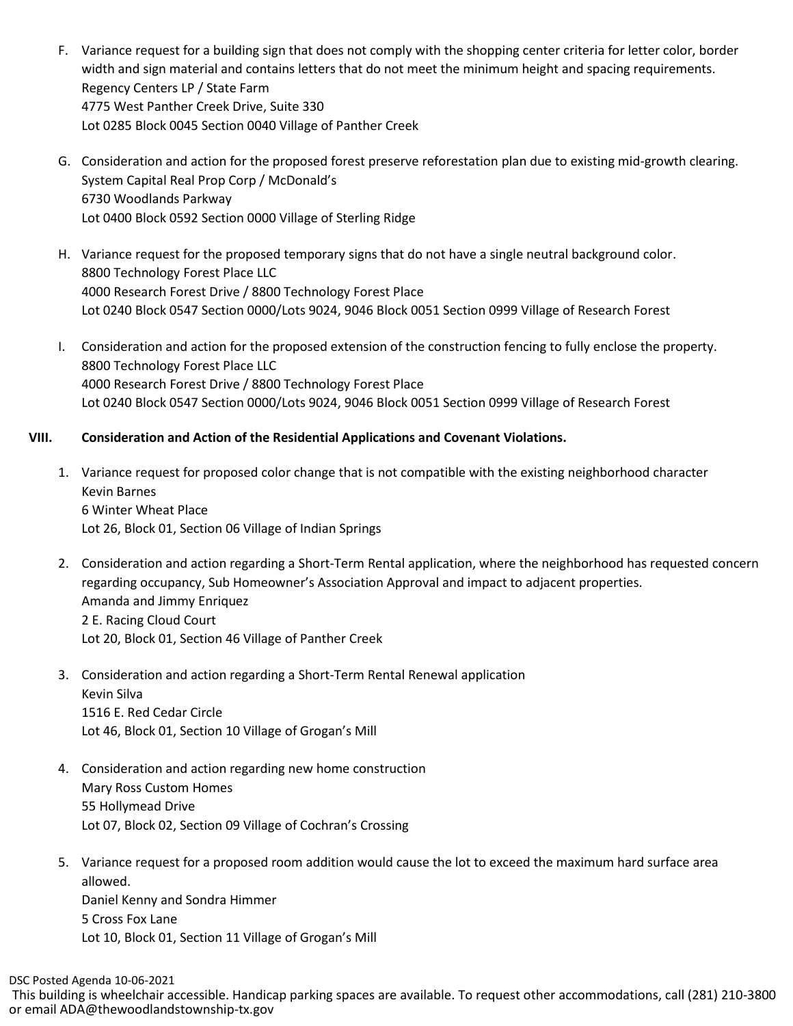- F. Variance request for a building sign that does not comply with the shopping center criteria for letter color, border width and sign material and contains letters that do not meet the minimum height and spacing requirements. Regency Centers LP / State Farm 4775 West Panther Creek Drive, Suite 330 Lot 0285 Block 0045 Section 0040 Village of Panther Creek
- G. Consideration and action for the proposed forest preserve reforestation plan due to existing mid-growth clearing. System Capital Real Prop Corp / McDonald's 6730 Woodlands Parkway Lot 0400 Block 0592 Section 0000 Village of Sterling Ridge
- H. Variance request for the proposed temporary signs that do not have a single neutral background color. 8800 Technology Forest Place LLC 4000 Research Forest Drive / 8800 Technology Forest Place Lot 0240 Block 0547 Section 0000/Lots 9024, 9046 Block 0051 Section 0999 Village of Research Forest
- I. Consideration and action for the proposed extension of the construction fencing to fully enclose the property. 8800 Technology Forest Place LLC 4000 Research Forest Drive / 8800 Technology Forest Place Lot 0240 Block 0547 Section 0000/Lots 9024, 9046 Block 0051 Section 0999 Village of Research Forest

## **VIII. Consideration and Action of the Residential Applications and Covenant Violations.**

- 1. Variance request for proposed color change that is not compatible with the existing neighborhood character Kevin Barnes 6 Winter Wheat Place Lot 26, Block 01, Section 06 Village of Indian Springs
- 2. Consideration and action regarding a Short-Term Rental application, where the neighborhood has requested concern regarding occupancy, Sub Homeowner's Association Approval and impact to adjacent properties. Amanda and Jimmy Enriquez 2 E. Racing Cloud Court Lot 20, Block 01, Section 46 Village of Panther Creek
- 3. Consideration and action regarding a Short-Term Rental Renewal application Kevin Silva 1516 E. Red Cedar Circle Lot 46, Block 01, Section 10 Village of Grogan's Mill
- 4. Consideration and action regarding new home construction Mary Ross Custom Homes 55 Hollymead Drive Lot 07, Block 02, Section 09 Village of Cochran's Crossing
- 5. Variance request for a proposed room addition would cause the lot to exceed the maximum hard surface area allowed. Daniel Kenny and Sondra Himmer 5 Cross Fox Lane Lot 10, Block 01, Section 11 Village of Grogan's Mill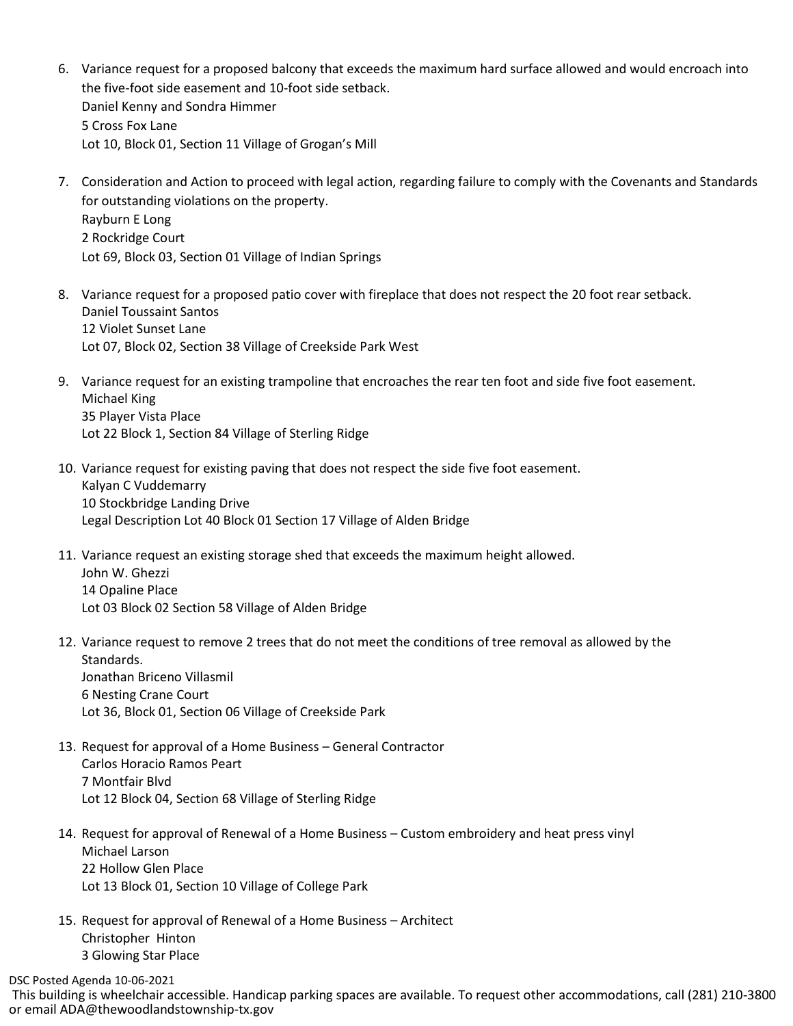- 6. Variance request for a proposed balcony that exceeds the maximum hard surface allowed and would encroach into the five-foot side easement and 10-foot side setback. Daniel Kenny and Sondra Himmer 5 Cross Fox Lane Lot 10, Block 01, Section 11 Village of Grogan's Mill
- 7. Consideration and Action to proceed with legal action, regarding failure to comply with the Covenants and Standards for outstanding violations on the property. Rayburn E Long 2 Rockridge Court Lot 69, Block 03, Section 01 Village of Indian Springs
- 8. Variance request for a proposed patio cover with fireplace that does not respect the 20 foot rear setback. Daniel Toussaint Santos 12 Violet Sunset Lane Lot 07, Block 02, Section 38 Village of Creekside Park West
- 9. Variance request for an existing trampoline that encroaches the rear ten foot and side five foot easement. Michael King 35 Player Vista Place Lot 22 Block 1, Section 84 Village of Sterling Ridge
- 10. Variance request for existing paving that does not respect the side five foot easement. Kalyan C Vuddemarry 10 Stockbridge Landing Drive Legal Description Lot 40 Block 01 Section 17 Village of Alden Bridge
- 11. Variance request an existing storage shed that exceeds the maximum height allowed. John W. Ghezzi 14 Opaline Place Lot 03 Block 02 Section 58 Village of Alden Bridge
- 12. Variance request to remove 2 trees that do not meet the conditions of tree removal as allowed by the Standards. Jonathan Briceno Villasmil 6 Nesting Crane Court Lot 36, Block 01, Section 06 Village of Creekside Park
- 13. Request for approval of a Home Business General Contractor Carlos Horacio Ramos Peart 7 Montfair Blvd Lot 12 Block 04, Section 68 Village of Sterling Ridge
- 14. Request for approval of Renewal of a Home Business Custom embroidery and heat press vinyl Michael Larson 22 Hollow Glen Place Lot 13 Block 01, Section 10 Village of College Park
- 15. Request for approval of Renewal of a Home Business Architect Christopher Hinton 3 Glowing Star Place

DSC Posted Agenda 10-06-2021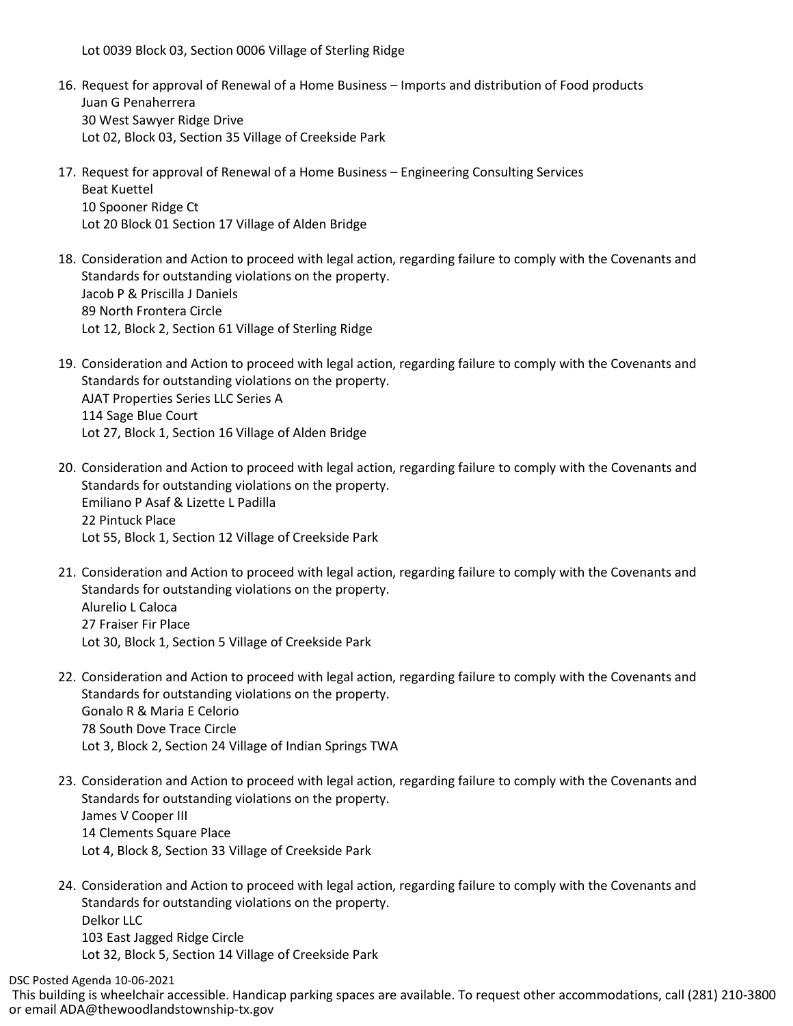Lot 0039 Block 03, Section 0006 Village of Sterling Ridge

- 16. Request for approval of Renewal of a Home Business Imports and distribution of Food products Juan G Penaherrera 30 West Sawyer Ridge Drive Lot 02, Block 03, Section 35 Village of Creekside Park
- 17. Request for approval of Renewal of a Home Business Engineering Consulting Services Beat Kuettel 10 Spooner Ridge Ct Lot 20 Block 01 Section 17 Village of Alden Bridge
- 18. Consideration and Action to proceed with legal action, regarding failure to comply with the Covenants and Standards for outstanding violations on the property. Jacob P & Priscilla J Daniels 89 North Frontera Circle Lot 12, Block 2, Section 61 Village of Sterling Ridge
- 19. Consideration and Action to proceed with legal action, regarding failure to comply with the Covenants and Standards for outstanding violations on the property. AJAT Properties Series LLC Series A 114 Sage Blue Court Lot 27, Block 1, Section 16 Village of Alden Bridge
- 20. Consideration and Action to proceed with legal action, regarding failure to comply with the Covenants and Standards for outstanding violations on the property. Emiliano P Asaf & Lizette L Padilla 22 Pintuck Place Lot 55, Block 1, Section 12 Village of Creekside Park
- 21. Consideration and Action to proceed with legal action, regarding failure to comply with the Covenants and Standards for outstanding violations on the property. Alurelio L Caloca 27 Fraiser Fir Place Lot 30, Block 1, Section 5 Village of Creekside Park
- 22. Consideration and Action to proceed with legal action, regarding failure to comply with the Covenants and Standards for outstanding violations on the property. Gonalo R & Maria E Celorio 78 South Dove Trace Circle Lot 3, Block 2, Section 24 Village of Indian Springs TWA
- 23. Consideration and Action to proceed with legal action, regarding failure to comply with the Covenants and Standards for outstanding violations on the property. James V Cooper III 14 Clements Square Place Lot 4, Block 8, Section 33 Village of Creekside Park
- 24. Consideration and Action to proceed with legal action, regarding failure to comply with the Covenants and Standards for outstanding violations on the property. Delkor LLC 103 East Jagged Ridge Circle Lot 32, Block 5, Section 14 Village of Creekside Park

DSC Posted Agenda 10-06-2021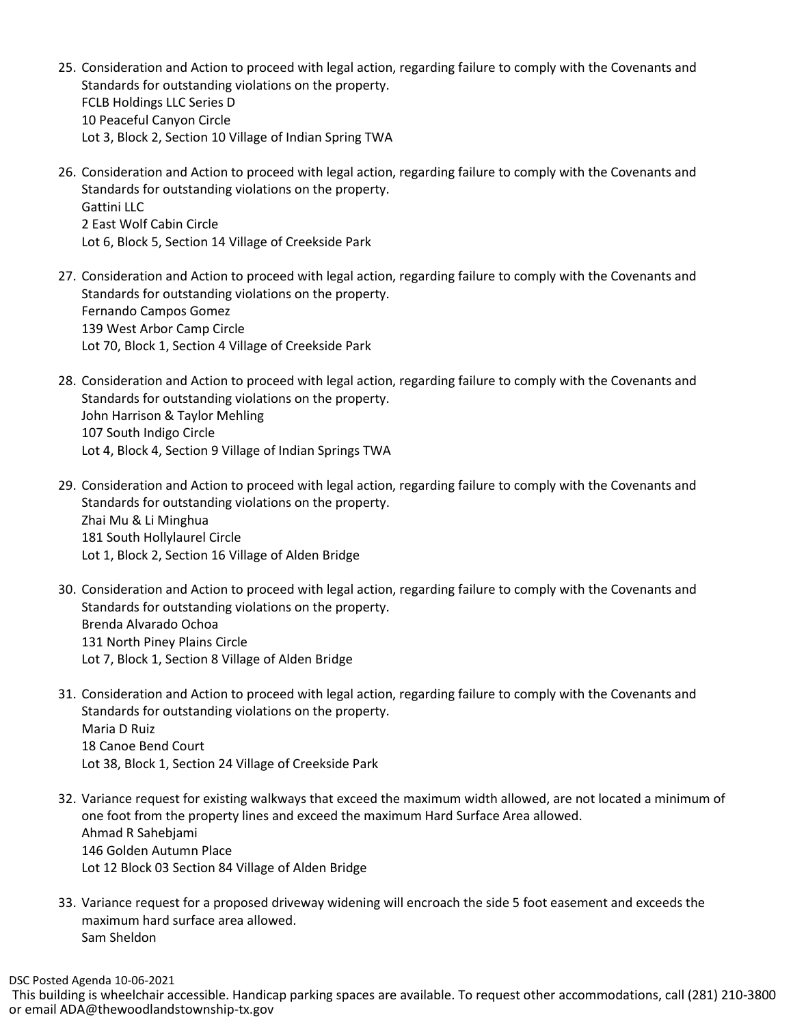- 25. Consideration and Action to proceed with legal action, regarding failure to comply with the Covenants and Standards for outstanding violations on the property. FCLB Holdings LLC Series D 10 Peaceful Canyon Circle Lot 3, Block 2, Section 10 Village of Indian Spring TWA
- 26. Consideration and Action to proceed with legal action, regarding failure to comply with the Covenants and Standards for outstanding violations on the property. Gattini LLC 2 East Wolf Cabin Circle Lot 6, Block 5, Section 14 Village of Creekside Park
- 27. Consideration and Action to proceed with legal action, regarding failure to comply with the Covenants and Standards for outstanding violations on the property. Fernando Campos Gomez 139 West Arbor Camp Circle Lot 70, Block 1, Section 4 Village of Creekside Park
- 28. Consideration and Action to proceed with legal action, regarding failure to comply with the Covenants and Standards for outstanding violations on the property. John Harrison & Taylor Mehling 107 South Indigo Circle Lot 4, Block 4, Section 9 Village of Indian Springs TWA
- 29. Consideration and Action to proceed with legal action, regarding failure to comply with the Covenants and Standards for outstanding violations on the property. Zhai Mu & Li Minghua 181 South Hollylaurel Circle Lot 1, Block 2, Section 16 Village of Alden Bridge
- 30. Consideration and Action to proceed with legal action, regarding failure to comply with the Covenants and Standards for outstanding violations on the property. Brenda Alvarado Ochoa 131 North Piney Plains Circle Lot 7, Block 1, Section 8 Village of Alden Bridge
- 31. Consideration and Action to proceed with legal action, regarding failure to comply with the Covenants and Standards for outstanding violations on the property. Maria D Ruiz 18 Canoe Bend Court Lot 38, Block 1, Section 24 Village of Creekside Park
- 32. Variance request for existing walkways that exceed the maximum width allowed, are not located a minimum of one foot from the property lines and exceed the maximum Hard Surface Area allowed. Ahmad R Sahebjami 146 Golden Autumn Place Lot 12 Block 03 Section 84 Village of Alden Bridge
- 33. Variance request for a proposed driveway widening will encroach the side 5 foot easement and exceeds the maximum hard surface area allowed. Sam Sheldon